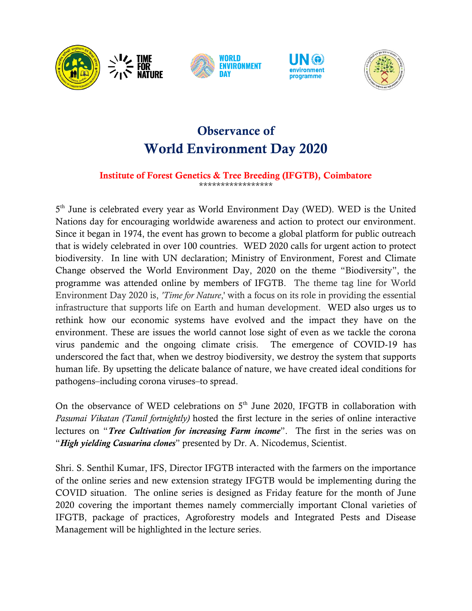

# **Observance of World Environment Day 2020**

#### **Institute of Forest Genetics & Tree Breeding (IFGTB), Coimbatore** \*\*\*\*\*\*\*\*\*\*\*\*\*\*\*\*\*

5<sup>th</sup> June is celebrated every year as World Environment Day (WED). WED is the United Nations day for encouraging worldwide awareness and action to protect our environment. Since it began in 1974, the event has grown to become a global platform for public outreach that is widely celebrated in over 100 countries. WED 2020 calls for urgent action to protect biodiversity. In line with UN declaration; Ministry of Environment, Forest and Climate Change observed the World Environment Day, 2020 on the theme "Biodiversity", the programme was attended online by members of IFGTB. The theme tag line for World Environment Day 2020 is, *'Time for Nature*,' with a focus on its role in providing the essential infrastructure that supports life on Earth and human development. WED also urges us to rethink how our economic systems have evolved and the impact they have on the environment. These are issues the world cannot lose sight of even as we tackle the corona virus pandemic and the ongoing climate crisis. The emergence of COVID-19 has underscored the fact that, when we destroy biodiversity, we destroy the system that supports human life. By upsetting the delicate balance of nature, we have created ideal conditions for pathogens–including corona viruses–to spread.

On the observance of WED celebrations on  $5<sup>th</sup>$  June 2020, IFGTB in collaboration with *Pasumai Vikatan (Tamil fortnightly)* hosted the first lecture in the series of online interactive lectures on "*Tree Cultivation for increasing Farm income*". The first in the series was on "*High yielding Casuarina clones*" presented by Dr. A. Nicodemus, Scientist.

Shri. S. Senthil Kumar, IFS, Director IFGTB interacted with the farmers on the importance of the online series and new extension strategy IFGTB would be implementing during the COVID situation. The online series is designed as Friday feature for the month of June 2020 covering the important themes namely commercially important Clonal varieties of IFGTB, package of practices, Agroforestry models and Integrated Pests and Disease Management will be highlighted in the lecture series.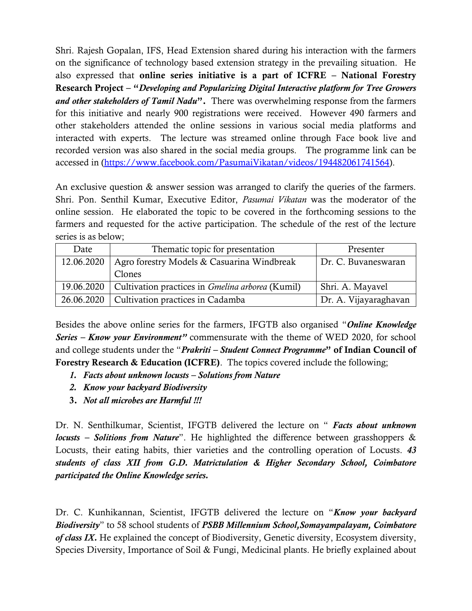Shri. Rajesh Gopalan, IFS, Head Extension shared during his interaction with the farmers on the significance of technology based extension strategy in the prevailing situation. He also expressed that **online series initiative is a part of ICFRE – National Forestry Research Project – "***Developing and Popularizing Digital Interactive platform for Tree Growers and other stakeholders of Tamil Nadu***".** There was overwhelming response from the farmers for this initiative and nearly 900 registrations were received. However 490 farmers and other stakeholders attended the online sessions in various social media platforms and interacted with experts. The lecture was streamed online through Face book live and recorded version was also shared in the social media groups. The programme link can be accessed in [\(https://www.facebook.com/PasumaiVikatan/videos/194482061741564\)](https://www.facebook.com/PasumaiVikatan/videos/194482061741564).

An exclusive question & answer session was arranged to clarify the queries of the farmers. Shri. Pon. Senthil Kumar, Executive Editor, *Pasumai Vikatan* was the moderator of the online session. He elaborated the topic to be covered in the forthcoming sessions to the farmers and requested for the active participation. The schedule of the rest of the lecture series is as below;

| Date       | Thematic topic for presentation                                      | Presenter             |
|------------|----------------------------------------------------------------------|-----------------------|
| 12.06.2020 | Agro forestry Models & Casuarina Windbreak                           | Dr. C. Buvaneswaran   |
|            | Clones                                                               |                       |
|            | 19.06.2020   Cultivation practices in <i>Gmelina arborea</i> (Kumil) | Shri. A. Mayavel      |
|            | 26.06.2020   Cultivation practices in Cadamba                        | Dr. A. Vijayaraghavan |

Besides the above online series for the farmers, IFGTB also organised "*Online Knowledge Series – Know your Environment"* commensurate with the theme of WED 2020, for school and college students under the "*Prakriti – Student Connect Programme***" of Indian Council of Forestry Research & Education (ICFRE)**. The topics covered include the following;

- *1. Facts about unknown locusts – Solutions from Nature*
- *2. Know your backyard Biodiversity*
- **3.** *Not all microbes are Harmful !!!*

Dr. N. Senthilkumar, Scientist, IFGTB delivered the lecture on " *Facts about unknown locusts – Solitions from Nature*". He highlighted the difference between grasshoppers & Locusts, their eating habits, thier varieties and the controlling operation of Locusts. *43 students of class XII from G.D. Matrictulation & Higher Secondary School, Coimbatore participated the Online Knowledge series.*

Dr. C. Kunhikannan, Scientist, IFGTB delivered the lecture on "*Know your backyard Biodiversity*" to 58 school students of *PSBB Millennium School,Somayampalayam, Coimbatore of class IX.* He explained the concept of Biodiversity, Genetic diversity, Ecosystem diversity, Species Diversity, Importance of Soil & Fungi, Medicinal plants. He briefly explained about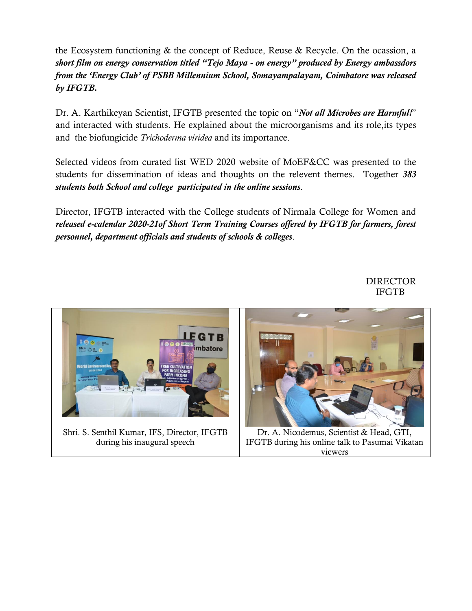the Ecosystem functioning & the concept of Reduce, Reuse & Recycle. On the ocassion, a *short film on energy conservation titled "Tejo Maya - on energy" produced by Energy ambassdors from the "Energy Club" of PSBB Millennium School, Somayampalayam, Coimbatore was released by IFGTB.*

Dr. A. Karthikeyan Scientist, IFGTB presented the topic on "*Not all Microbes are Harmful!*" and interacted with students. He explained about the microorganisms and its role,its types and the biofungicide *Trichoderma viridea* and its importance.

Selected videos from curated list WED 2020 website of MoEF&CC was presented to the students for dissemination of ideas and thoughts on the relevent themes. Together *383 students both School and college participated in the online sessions*.

Director, IFGTB interacted with the College students of Nirmala College for Women and *released e-calendar 2020-21of Short Term Training Courses offered by IFGTB for farmers, forest personnel, department officials and students of schools & colleges*.

DIRECTOR IFGTB

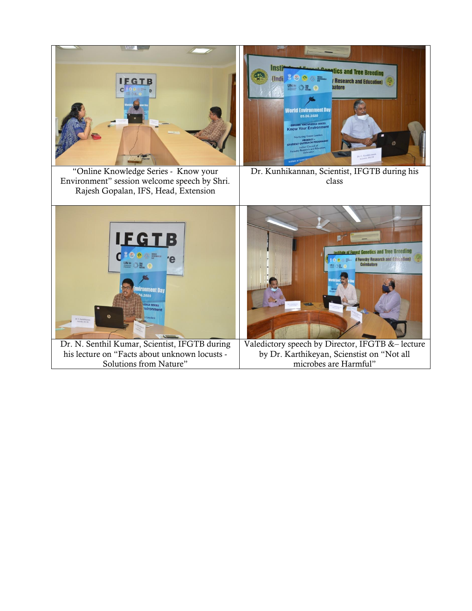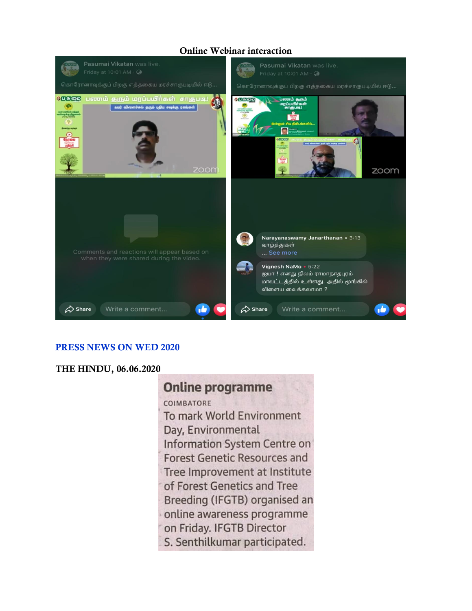## **Online Webinar interaction**



### **PRESS NEWS ON WED 2020**

## **THE HINDU, 06.06.2020**

## **Online programme**

**COIMBATORE** To mark World Environment Day, Environmental **Information System Centre on Forest Genetic Resources and** Tree Improvement at Institute of Forest Genetics and Tree Breeding (IFGTB) organised an online awareness programme on Friday. IFGTB Director S. Senthilkumar participated.